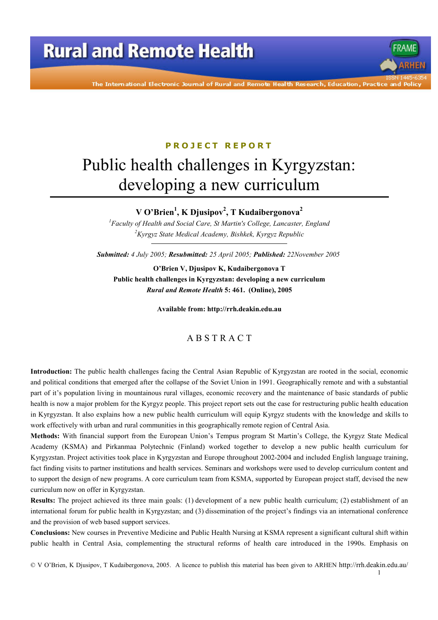# **Rural and Remote Health**

The International Electronic Journal of Rural and Remote Health Research, Education, Practice and Poli

#### **PROJECT REPORT**

# Public health challenges in Kyrgyzstan: developing a new curriculum

#### V O'Brien<sup>1</sup>, K Djusipov<sup>2</sup>, T Kudaibergonova<sup>2</sup>

 ${}^{1}$ Faculty of Health and Social Care, St Martin's College, Lancaster, England <sup>2</sup>Kyrgyz State Medical Academy, Bishkek, Kyrgyz Republic

Submitted: 4 July 2005; Resubmitted: 25 April 2005; Published: 22November 2005

O'Brien V, Djusipov K, Kudaibergonova T Public health challenges in Kyrgyzstan: developing a new curriculum Rural and Remote Health 5: 461. (Online), 2005

Available from: http://rrh.deakin.edu.au

#### ABSTRACT

Introduction: The public health challenges facing the Central Asian Republic of Kyrgyzstan are rooted in the social, economic and political conditions that emerged after the collapse of the Soviet Union in 1991. Geographically remote and with a substantial part of it's population living in mountainous rural villages, economic recovery and the maintenance of basic standards of public health is now a major problem for the Kyrgyz people. This project report sets out the case for restructuring public health education in Kyrgyzstan. It also explains how a new public health curriculum will equip Kyrgyz students with the knowledge and skills to work effectively with urban and rural communities in this geographically remote region of Central Asia.

Methods: With financial support from the European Union's Tempus program St Martin's College, the Kyrgyz State Medical Academy (KSMA) and Pirkanmaa Polytechnic (Finland) worked together to develop a new public health curriculum for Kyrgyzstan. Project activities took place in Kyrgyzstan and Europe throughout 2002-2004 and included English language training, fact finding visits to partner institutions and health services. Seminars and workshops were used to develop curriculum content and to support the design of new programs. A core curriculum team from KSMA, supported by European project staff, devised the new curriculum now on offer in Kyrgyzstan.

**Results:** The project achieved its three main goals: (1) development of a new public health curriculum; (2) establishment of an international forum for public health in Kyrgyzstan; and (3) dissemination of the project's findings via an international conference and the provision of web based support services.

Conclusions: New courses in Preventive Medicine and Public Health Nursing at KSMA represent a significant cultural shift within public health in Central Asia, complementing the structural reforms of health care introduced in the 1990s. Emphasis on

© V O'Brien, K Djusipov, T Kudaibergonova, 2005. A licence to publish this material has been given to ARHEN http://rrh.deakin.edu.au/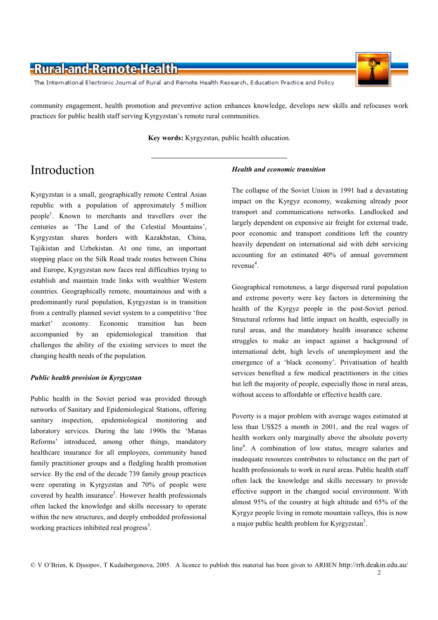The International Electronic Journal of Rural and Remote Health Research, Education Practice and Policy

community engagement, health promotion and preventive action enhances knowledge, develops new skills and refocuses work practices for public health staff serving Kyrgyzstan's remote rural communities.

Key words: Kyrgyzstan, public health education.

# Introduction

Kyrgyzstan is a small, geographically remote Central Asian republic with a population of approximately 5 million people<sup>1</sup>. Known to merchants and travellers over the centuries as 'The Land of the Celestial Mountains', Kyrgyzstan shares borders with Kazakhstan, China, Tajikistan and Uzbekistan. At one time, an important stopping place on the Silk Road trade routes between China and Europe, Kyrgyzstan now faces real difficulties trying to establish and maintain trade links with wealthier Western countries. Geographically remote, mountainous and with a predominantly rural population, Kyrgyzstan is in transition from a centrally planned soviet system to a competitive 'free market' economy. Economic transition has been accompanied by an epidemiological transition that challenges the ability of the existing services to meet the changing health needs of the population.

#### **Public health provision in Kyrgyzstan**

Public health in the Soviet period was provided through networks of Sanitary and Epidemiological Stations, offering sanitary inspection, epidemiological monitoring and laboratory services. During the late 1990s the 'Manas Reforms' introduced, among other things, mandatory healthcare insurance for all employees, community based family practitioner groups and a fledgling health promotion service. By the end of the decade 739 family group practices were operating in Kyrgyzstan and 70% of people were covered by health insurance<sup>2</sup>. However health professionals often lacked the knowledge and skills necessary to operate within the new structures, and deeply embedded professional working practices inhibited real progress<sup>3</sup>.

#### **Health and economic transition**

The collapse of the Soviet Union in 1991 had a devastating impact on the Kyrgyz economy, weakening already poor transport and communications networks. Landlocked and largely dependent on expensive air freight for external trade, poor economic and transport conditions left the country heavily dependent on international aid with debt servicing accounting for an estimated 40% of annual government revenue $4$ .

Geographical remoteness, a large dispersed rural population and extreme poverty were key factors in determining the health of the Kyrgyz people in the post-Soviet period. Structural reforms had little impact on health, especially in rural areas, and the mandatory health insurance scheme struggles to make an impact against a background of international debt, high levels of unemployment and the emergence of a 'black economy'. Privatisation of health services benefited a few medical practitioners in the cities but left the majority of people, especially those in rural areas, without access to affordable or effective health care.

Poverty is a major problem with average wages estimated at less than US\$25 a month in 2001, and the real wages of health workers only marginally above the absolute poverty line<sup>4</sup>. A combination of low status, meagre salaries and inadequate resources contributes to reluctance on the part of health professionals to work in rural areas. Public health staff often lack the knowledge and skills necessary to provide effective support in the changed social environment. With almost 95% of the country at high altitude and 65% of the Kyrgyz people living in remote mountain valleys, this is now a major public health problem for Kyrgyzstan<sup>3</sup>.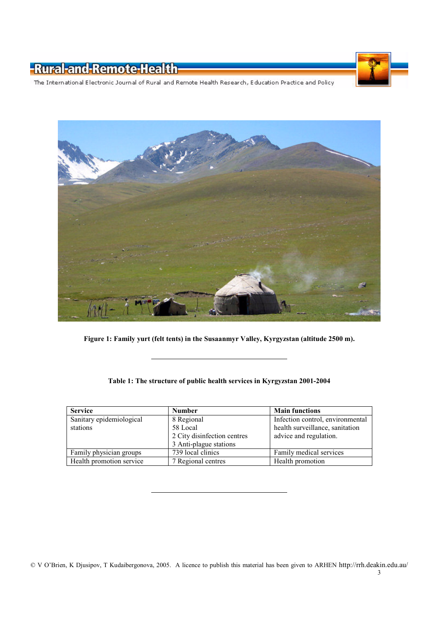

The International Electronic Journal of Rural and Remote Health Research, Education Practice and Policy



Figure 1: Family yurt (felt tents) in the Susaanmyr Valley, Kyrgyzstan (altitude 2500 m).

#### Table 1: The structure of public health services in Kyrgyzstan 2001-2004

| <b>Service</b>           | <b>Number</b>               | <b>Main functions</b>            |
|--------------------------|-----------------------------|----------------------------------|
| Sanitary epidemiological | 8 Regional                  | Infection control, environmental |
| stations                 | 58 Local                    | health surveillance, sanitation  |
|                          | 2 City disinfection centres | advice and regulation.           |
|                          | 3 Anti-plague stations      |                                  |
| Family physician groups  | 739 local clinics           | Family medical services          |
| Health promotion service | 7 Regional centres          | Health promotion                 |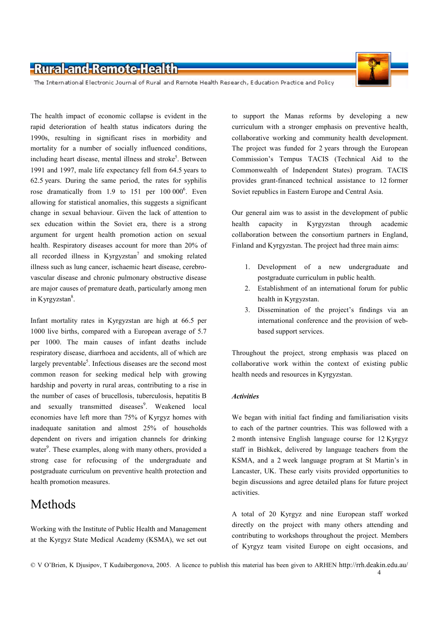

The International Electronic Journal of Rural and Remote Health Research, Education Practice and Policy

The health impact of economic collapse is evident in the rapid deterioration of health status indicators during the 1990s, resulting in significant rises in morbidity and mortality for a number of socially influenced conditions, including heart disease, mental illness and stroke<sup>5</sup>. Between 1991 and 1997, male life expectancy fell from 64.5 years to 62.5 years. During the same period, the rates for syphilis rose dramatically from 1.9 to 151 per 100 000<sup>6</sup>. Even allowing for statistical anomalies, this suggests a significant change in sexual behaviour. Given the lack of attention to sex education within the Soviet era, there is a strong argument for urgent health promotion action on sexual health. Respiratory diseases account for more than 20% of all recorded illness in Kyrgyzstan<sup>7</sup> and smoking related illness such as lung cancer, ischaemic heart disease, cerebrovascular disease and chronic pulmonary obstructive disease are major causes of premature death, particularly among men in Kyrgyzstan $8$ .

Infant mortality rates in Kyrgyzstan are high at 66.5 per 1000 live births, compared with a European average of 5.7 per 1000. The main causes of infant deaths include respiratory disease, diarrhoea and accidents, all of which are largely preventable<sup>5</sup>. Infectious diseases are the second most common reason for seeking medical help with growing hardship and poverty in rural areas, contributing to a rise in the number of cases of brucellosis, tuberculosis, hepatitis B and sexually transmitted diseases<sup>9</sup>. Weakened local economies have left more than 75% of Kyrgyz homes with inadequate sanitation and almost 25% of households dependent on rivers and irrigation channels for drinking water<sup>9</sup>. These examples, along with many others, provided a strong case for refocusing of the undergraduate and postgraduate curriculum on preventive health protection and health promotion measures.

### Methods

Working with the Institute of Public Health and Management at the Kyrgyz State Medical Academy (KSMA), we set out

to support the Manas reforms by developing a new curriculum with a stronger emphasis on preventive health. collaborative working and community health development. The project was funded for 2 years through the European Commission's Tempus TACIS (Technical Aid to the Commonwealth of Independent States) program. TACIS provides grant-financed technical assistance to 12 former Soviet republics in Eastern Europe and Central Asia.

Our general aim was to assist in the development of public health capacity in Kyrgyzstan through academic collaboration between the consortium partners in England, Finland and Kyrgyzstan. The project had three main aims:

- 1. Development of a new undergraduate and postgraduate curriculum in public health.
- Establishment of an international forum for public  $2<sup>1</sup>$ health in Kyrgyzstan.
- 3. Dissemination of the project's findings via an international conference and the provision of webbased support services.

Throughout the project, strong emphasis was placed on collaborative work within the context of existing public health needs and resources in Kyrgyzstan.

#### **Activities**

We began with initial fact finding and familiarisation visits to each of the partner countries. This was followed with a 2 month intensive English language course for 12 Kyrgyz staff in Bishkek, delivered by language teachers from the KSMA, and a 2 week language program at St Martin's in Lancaster, UK. These early visits provided opportunities to begin discussions and agree detailed plans for future project activities

A total of 20 Kyrgyz and nine European staff worked directly on the project with many others attending and contributing to workshops throughout the project. Members of Kyrgyz team visited Europe on eight occasions, and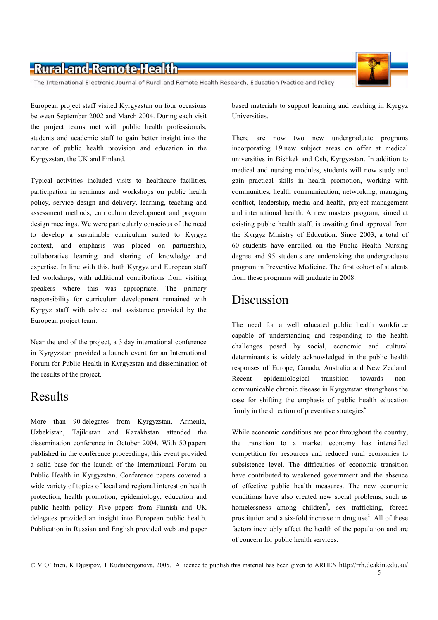The International Electronic Journal of Rural and Remote Health Research, Education Practice and Policy

European project staff visited Kyrgyzstan on four occasions between September 2002 and March 2004. During each visit the project teams met with public health professionals, students and academic staff to gain better insight into the nature of public health provision and education in the Kyrgyzstan, the UK and Finland.

Typical activities included visits to healthcare facilities, participation in seminars and workshops on public health policy, service design and delivery, learning, teaching and assessment methods, curriculum development and program design meetings. We were particularly conscious of the need to develop a sustainable curriculum suited to Kyrgyz context, and emphasis was placed on partnership, collaborative learning and sharing of knowledge and expertise. In line with this, both Kyrgyz and European staff led workshops, with additional contributions from visiting speakers where this was appropriate. The primary responsibility for curriculum development remained with Kyrgyz staff with advice and assistance provided by the European project team.

Near the end of the project, a 3 day international conference in Kyrgyzstan provided a launch event for an International Forum for Public Health in Kyrgyzstan and dissemination of the results of the project.

### **Results**

More than 90 delegates from Kyrgyzstan, Armenia, Uzbekistan, Tajikistan and Kazakhstan attended the dissemination conference in October 2004. With 50 papers published in the conference proceedings, this event provided a solid base for the launch of the International Forum on Public Health in Kyrgyzstan. Conference papers covered a wide variety of topics of local and regional interest on health protection, health promotion, epidemiology, education and public health policy. Five papers from Finnish and UK delegates provided an insight into European public health. Publication in Russian and English provided web and paper

based materials to support learning and teaching in Kyrgyz Universities.

There are now two new undergraduate programs incorporating 19 new subject areas on offer at medical universities in Bishkek and Osh, Kyrgyzstan. In addition to medical and nursing modules, students will now study and gain practical skills in health promotion, working with communities, health communication, networking, managing conflict, leadership, media and health, project management and international health. A new masters program, aimed at existing public health staff, is awaiting final approval from the Kyrgyz Ministry of Education. Since 2003, a total of 60 students have enrolled on the Public Health Nursing degree and 95 students are undertaking the undergraduate program in Preventive Medicine. The first cohort of students from these programs will graduate in 2008.

### Discussion

The need for a well educated public health workforce capable of understanding and responding to the health challenges posed by social, economic and cultural determinants is widely acknowledged in the public health responses of Europe, Canada, Australia and New Zealand. Recent epidemiological transition towards  $non$ communicable chronic disease in Kyrgyzstan strengthens the case for shifting the emphasis of public health education firmly in the direction of preventive strategies<sup>4</sup>.

While economic conditions are poor throughout the country, the transition to a market economy has intensified competition for resources and reduced rural economies to subsistence level The difficulties of economic transition have contributed to weakened government and the absence of effective public health measures. The new economic conditions have also created new social problems, such as homelessness among children<sup>5</sup>, sex trafficking, forced prostitution and a six-fold increase in drug use<sup>2</sup>. All of these factors inevitably affect the health of the population and are of concern for public health services.

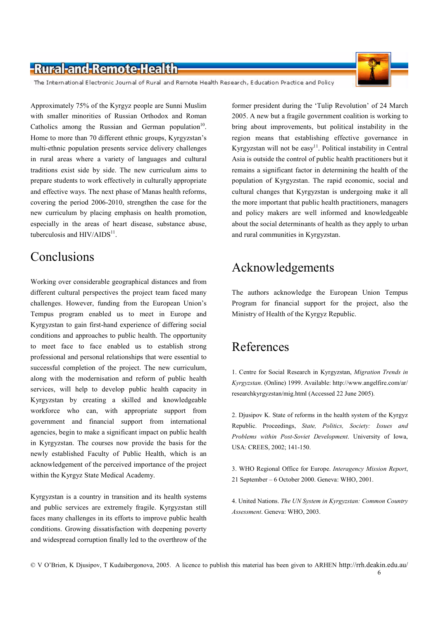The International Electronic Journal of Rural and Remote Health Research, Education Practice and Policy

Approximately 75% of the Kyrgyz people are Sunni Muslim with smaller minorities of Russian Orthodox and Roman Catholics among the Russian and German population<sup>10</sup>. Home to more than 70 different ethnic groups, Kyrgyzstan's multi-ethnic population presents service delivery challenges in rural areas where a variety of languages and cultural traditions exist side by side. The new curriculum aims to prepare students to work effectively in culturally appropriate and effective ways. The next phase of Manas health reforms, covering the period 2006-2010, strengthen the case for the new curriculum by placing emphasis on health promotion, especially in the areas of heart disease, substance abuse, tuberculosis and  $HIV/AIDS<sup>11</sup>$ .

## Conclusions

Working over considerable geographical distances and from different cultural perspectives the project team faced many challenges. However, funding from the European Union's Tempus program enabled us to meet in Europe and Kyrgyzstan to gain first-hand experience of differing social conditions and approaches to public health. The opportunity to meet face to face enabled us to establish strong professional and personal relationships that were essential to successful completion of the project. The new curriculum, along with the modernisation and reform of public health services, will help to develop public health capacity in Kyrgyzstan by creating a skilled and knowledgeable workforce who can, with appropriate support from government and financial support from international agencies, begin to make a significant impact on public health in Kyrgyzstan. The courses now provide the basis for the newly established Faculty of Public Health, which is an acknowledgement of the perceived importance of the project within the Kyrgyz State Medical Academy.

Kyrgyzstan is a country in transition and its health systems and public services are extremely fragile. Kyrgyzstan still faces many challenges in its efforts to improve public health conditions. Growing dissatisfaction with deepening poverty and widespread corruption finally led to the overthrow of the

former president during the 'Tulip Revolution' of 24 March 2005. A new but a fragile government coalition is working to bring about improvements, but political instability in the region means that establishing effective governance in Kyrgyzstan will not be easy<sup>11</sup>. Political instability in Central Asia is outside the control of public health practitioners but it remains a significant factor in determining the health of the population of Kyrgyzstan. The rapid economic, social and cultural changes that Kyrgyzstan is undergoing make it all the more important that public health practitioners, managers and policy makers are well informed and knowledgeable about the social determinants of health as they apply to urban and rural communities in Kyrgyzstan.

# Acknowledgements

The authors acknowledge the European Union Tempus Program for financial support for the project, also the Ministry of Health of the Kyrgyz Republic.

### References

1. Centre for Social Research in Kyrgyzstan, Migration Trends in Kyrgyzstan. (Online) 1999. Available: http://www.angelfire.com/ar/ researchkyrgyzstan/mig.html (Accessed 22 June 2005).

2. Djusipov K. State of reforms in the health system of the Kyrgyz Republic. Proceedings, State, Politics, Society: Issues and Problems within Post-Soviet Development. University of Iowa, USA: CREES, 2002; 141-150.

3. WHO Regional Office for Europe. Interagency Mission Report, 21 September - 6 October 2000. Geneva: WHO, 2001.

4. United Nations. The UN System in Kyrgyzstan: Common Country Assessment. Geneva: WHO, 2003.